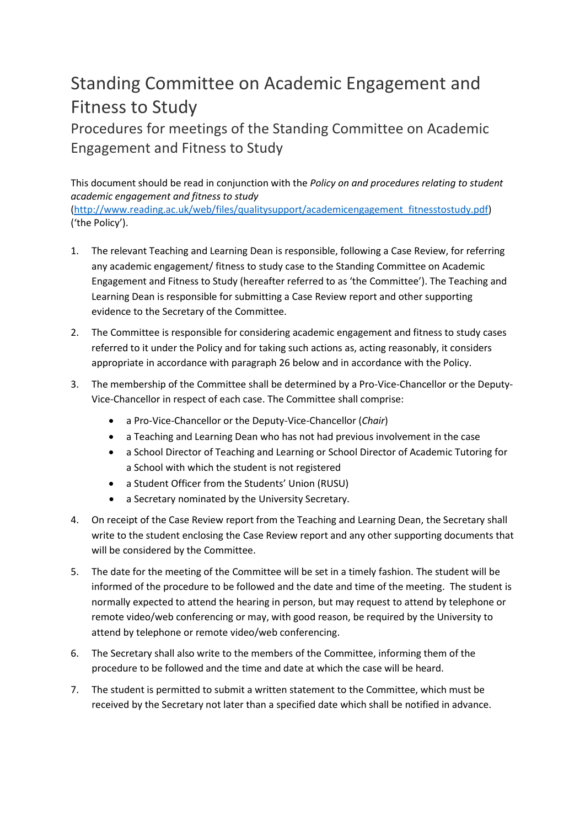## Standing Committee on Academic Engagement and Fitness to Study

Procedures for meetings of the Standing Committee on Academic Engagement and Fitness to Study

This document should be read in conjunction with the *Policy on and procedures relating to student academic engagement and fitness to study*  [\(http://www.reading.ac.uk/web/files/qualitysupport/academicengagement\\_fitnesstostudy.pdf\)](http://www.reading.ac.uk/web/files/qualitysupport/academicengagement_fitnesstostudy.pdf) ('the Policy').

- 1. The relevant Teaching and Learning Dean is responsible, following a Case Review, for referring any academic engagement/ fitness to study case to the Standing Committee on Academic Engagement and Fitness to Study (hereafter referred to as 'the Committee'). The Teaching and Learning Dean is responsible for submitting a Case Review report and other supporting evidence to the Secretary of the Committee.
- 2. The Committee is responsible for considering academic engagement and fitness to study cases referred to it under the Policy and for taking such actions as, acting reasonably, it considers appropriate in accordance with paragraph 26 below and in accordance with the Policy.
- 3. The membership of the Committee shall be determined by a Pro-Vice-Chancellor or the Deputy-Vice-Chancellor in respect of each case. The Committee shall comprise:
	- a Pro-Vice-Chancellor or the Deputy-Vice-Chancellor (*Chair*)
	- a Teaching and Learning Dean who has not had previous involvement in the case
	- a School Director of Teaching and Learning or School Director of Academic Tutoring for a School with which the student is not registered
	- a Student Officer from the Students' Union (RUSU)
	- a Secretary nominated by the University Secretary.
- 4. On receipt of the Case Review report from the Teaching and Learning Dean, the Secretary shall write to the student enclosing the Case Review report and any other supporting documents that will be considered by the Committee.
- 5. The date for the meeting of the Committee will be set in a timely fashion. The student will be informed of the procedure to be followed and the date and time of the meeting. The student is normally expected to attend the hearing in person, but may request to attend by telephone or remote video/web conferencing or may, with good reason, be required by the University to attend by telephone or remote video/web conferencing.
- 6. The Secretary shall also write to the members of the Committee, informing them of the procedure to be followed and the time and date at which the case will be heard.
- 7. The student is permitted to submit a written statement to the Committee, which must be received by the Secretary not later than a specified date which shall be notified in advance.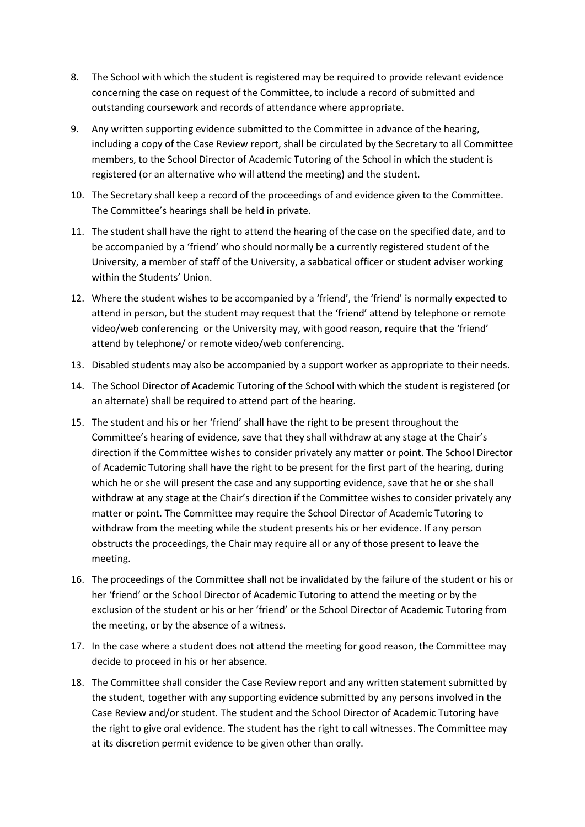- 8. The School with which the student is registered may be required to provide relevant evidence concerning the case on request of the Committee, to include a record of submitted and outstanding coursework and records of attendance where appropriate.
- 9. Any written supporting evidence submitted to the Committee in advance of the hearing, including a copy of the Case Review report, shall be circulated by the Secretary to all Committee members, to the School Director of Academic Tutoring of the School in which the student is registered (or an alternative who will attend the meeting) and the student.
- 10. The Secretary shall keep a record of the proceedings of and evidence given to the Committee. The Committee's hearings shall be held in private.
- 11. The student shall have the right to attend the hearing of the case on the specified date, and to be accompanied by a 'friend' who should normally be a currently registered student of the University, a member of staff of the University, a sabbatical officer or student adviser working within the Students' Union.
- 12. Where the student wishes to be accompanied by a 'friend', the 'friend' is normally expected to attend in person, but the student may request that the 'friend' attend by telephone or remote video/web conferencing or the University may, with good reason, require that the 'friend' attend by telephone/ or remote video/web conferencing.
- 13. Disabled students may also be accompanied by a support worker as appropriate to their needs.
- 14. The School Director of Academic Tutoring of the School with which the student is registered (or an alternate) shall be required to attend part of the hearing.
- 15. The student and his or her 'friend' shall have the right to be present throughout the Committee's hearing of evidence, save that they shall withdraw at any stage at the Chair's direction if the Committee wishes to consider privately any matter or point. The School Director of Academic Tutoring shall have the right to be present for the first part of the hearing, during which he or she will present the case and any supporting evidence, save that he or she shall withdraw at any stage at the Chair's direction if the Committee wishes to consider privately any matter or point. The Committee may require the School Director of Academic Tutoring to withdraw from the meeting while the student presents his or her evidence. If any person obstructs the proceedings, the Chair may require all or any of those present to leave the meeting.
- 16. The proceedings of the Committee shall not be invalidated by the failure of the student or his or her 'friend' or the School Director of Academic Tutoring to attend the meeting or by the exclusion of the student or his or her 'friend' or the School Director of Academic Tutoring from the meeting, or by the absence of a witness.
- 17. In the case where a student does not attend the meeting for good reason, the Committee may decide to proceed in his or her absence.
- 18. The Committee shall consider the Case Review report and any written statement submitted by the student, together with any supporting evidence submitted by any persons involved in the Case Review and/or student. The student and the School Director of Academic Tutoring have the right to give oral evidence. The student has the right to call witnesses. The Committee may at its discretion permit evidence to be given other than orally.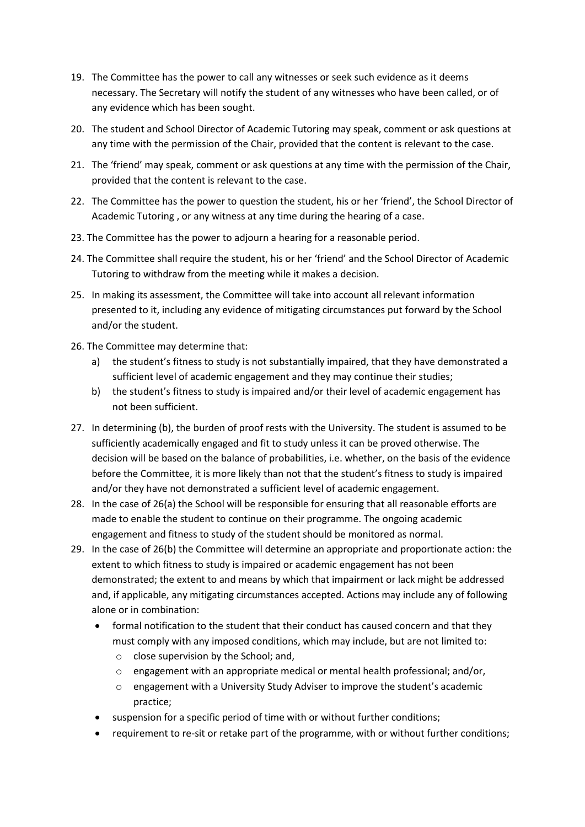- 19. The Committee has the power to call any witnesses or seek such evidence as it deems necessary. The Secretary will notify the student of any witnesses who have been called, or of any evidence which has been sought.
- 20. The student and School Director of Academic Tutoring may speak, comment or ask questions at any time with the permission of the Chair, provided that the content is relevant to the case.
- 21. The 'friend' may speak, comment or ask questions at any time with the permission of the Chair, provided that the content is relevant to the case.
- 22. The Committee has the power to question the student, his or her 'friend', the School Director of Academic Tutoring , or any witness at any time during the hearing of a case.
- 23. The Committee has the power to adjourn a hearing for a reasonable period.
- 24. The Committee shall require the student, his or her 'friend' and the School Director of Academic Tutoring to withdraw from the meeting while it makes a decision.
- 25. In making its assessment, the Committee will take into account all relevant information presented to it, including any evidence of mitigating circumstances put forward by the School and/or the student.
- 26. The Committee may determine that:
	- a) the student's fitness to study is not substantially impaired, that they have demonstrated a sufficient level of academic engagement and they may continue their studies;
	- b) the student's fitness to study is impaired and/or their level of academic engagement has not been sufficient.
- 27. In determining (b), the burden of proof rests with the University. The student is assumed to be sufficiently academically engaged and fit to study unless it can be proved otherwise. The decision will be based on the balance of probabilities, i.e. whether, on the basis of the evidence before the Committee, it is more likely than not that the student's fitness to study is impaired and/or they have not demonstrated a sufficient level of academic engagement.
- 28. In the case of 26(a) the School will be responsible for ensuring that all reasonable efforts are made to enable the student to continue on their programme. The ongoing academic engagement and fitness to study of the student should be monitored as normal.
- 29. In the case of 26(b) the Committee will determine an appropriate and proportionate action: the extent to which fitness to study is impaired or academic engagement has not been demonstrated; the extent to and means by which that impairment or lack might be addressed and, if applicable, any mitigating circumstances accepted. Actions may include any of following alone or in combination:
	- formal notification to the student that their conduct has caused concern and that they must comply with any imposed conditions, which may include, but are not limited to:
		- o close supervision by the School; and,
		- $\circ$  engagement with an appropriate medical or mental health professional; and/or,
		- o engagement with a University Study Adviser to improve the student's academic practice;
	- suspension for a specific period of time with or without further conditions;
	- requirement to re-sit or retake part of the programme, with or without further conditions;